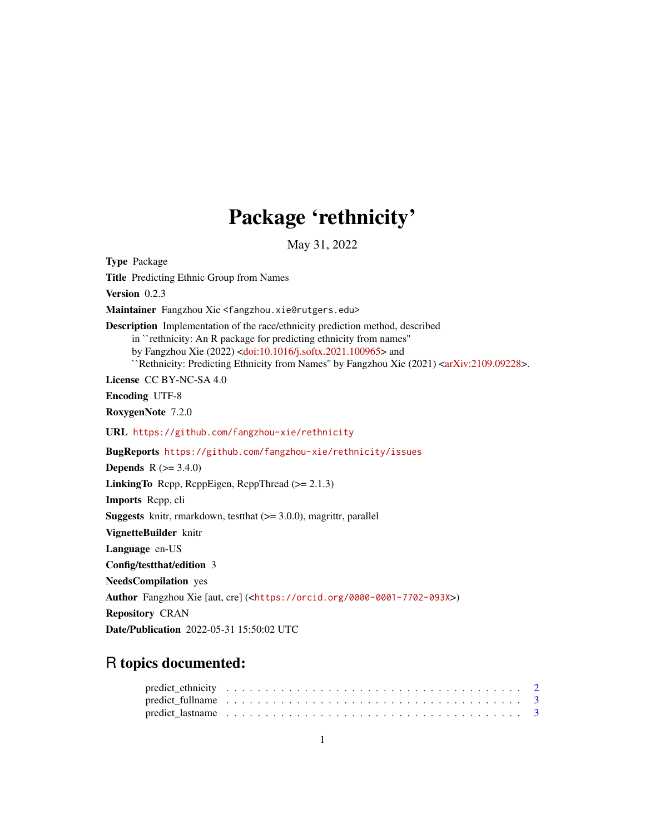## Package 'rethnicity'

May 31, 2022

Type Package Title Predicting Ethnic Group from Names Version 0.2.3 Maintainer Fangzhou Xie <fangzhou.xie@rutgers.edu> Description Implementation of the race/ethnicity prediction method, described in ``rethnicity: An R package for predicting ethnicity from names'' by Fangzhou Xie (2022) [<doi:10.1016/j.softx.2021.100965>](https://doi.org/10.1016/j.softx.2021.100965) and ``Rethnicity: Predicting Ethnicity from Names'' by Fangzhou Xie (2021) [<arXiv:2109.09228>](https://arxiv.org/abs/2109.09228). License CC BY-NC-SA 4.0 Encoding UTF-8 RoxygenNote 7.2.0 URL <https://github.com/fangzhou-xie/rethnicity> BugReports <https://github.com/fangzhou-xie/rethnicity/issues> **Depends** R  $(>= 3.4.0)$ **LinkingTo** Rcpp, RcppEigen, RcppThread  $(>= 2.1.3)$ Imports Rcpp, cli **Suggests** knitr, rmarkdown, test that  $(>= 3.0.0)$ , magnittr, parallel VignetteBuilder knitr Language en-US Config/testthat/edition 3 NeedsCompilation yes Author Fangzhou Xie [aut, cre] (<<https://orcid.org/0000-0001-7702-093X>>) Repository CRAN Date/Publication 2022-05-31 15:50:02 UTC

## R topics documented: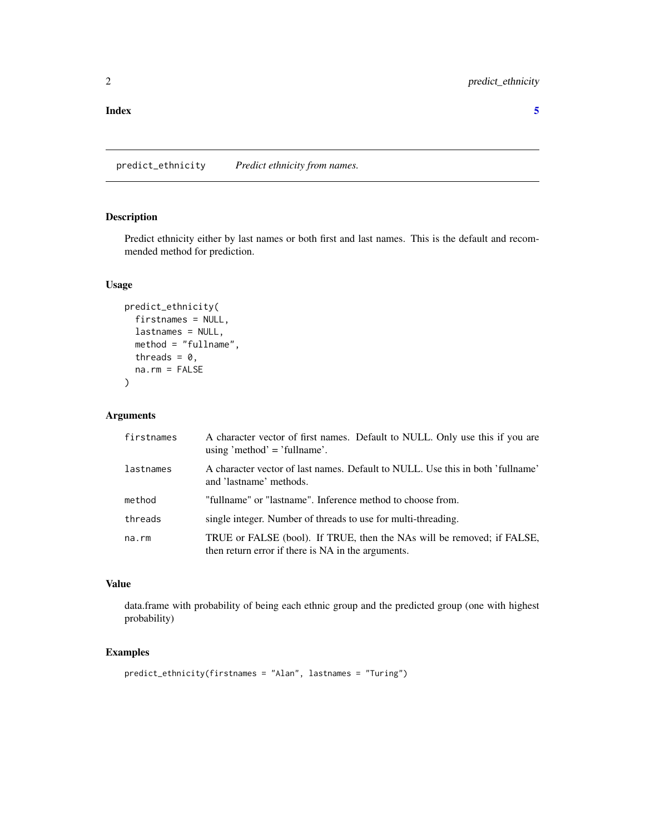<span id="page-1-0"></span>predict\_ethnicity *Predict ethnicity from names.*

#### Description

Predict ethnicity either by last names or both first and last names. This is the default and recommended method for prediction.

#### Usage

```
predict_ethnicity(
  firstnames = NULL,
 lastnames = NULL,
 method = "fullname",
  threads = 0,
  na.rm = FALSE
)
```
#### Arguments

| firstnames | A character vector of first names. Default to NULL. Only use this if you are<br>using 'method' = 'fullname'.                 |
|------------|------------------------------------------------------------------------------------------------------------------------------|
| lastnames  | A character vector of last names. Default to NULL. Use this in both 'fullname'<br>and 'lastname' methods.                    |
| method     | "fullname" or "lastname". Inference method to choose from.                                                                   |
| threads    | single integer. Number of threads to use for multi-threading.                                                                |
| na.rm      | TRUE or FALSE (bool). If TRUE, then the NAs will be removed; if FALSE,<br>then return error if there is NA in the arguments. |

#### Value

data.frame with probability of being each ethnic group and the predicted group (one with highest probability)

#### Examples

```
predict_ethnicity(firstnames = "Alan", lastnames = "Turing")
```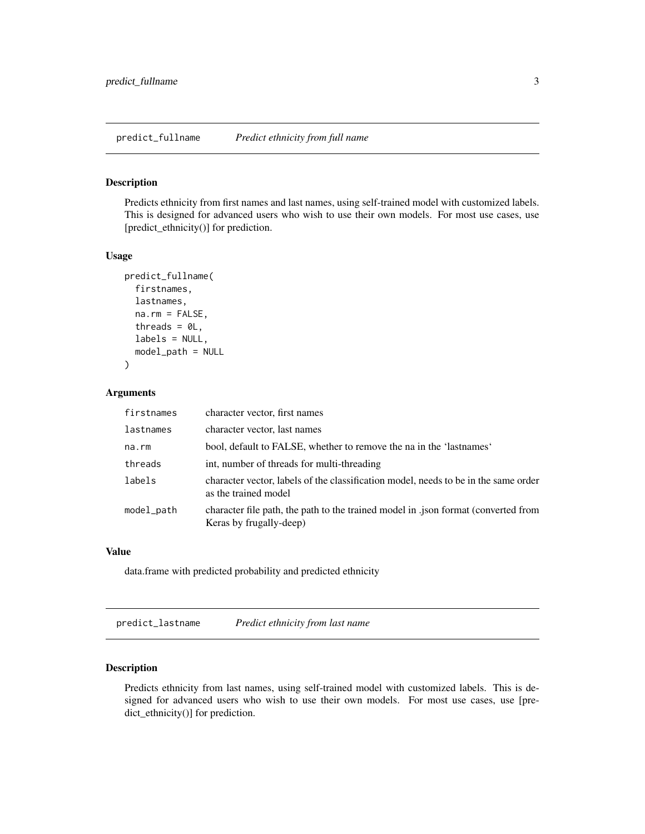<span id="page-2-0"></span>predict\_fullname *Predict ethnicity from full name*

#### Description

Predicts ethnicity from first names and last names, using self-trained model with customized labels. This is designed for advanced users who wish to use their own models. For most use cases, use [predict\_ethnicity()] for prediction.

#### Usage

```
predict_fullname(
  firstnames,
  lastnames,
  na.rm = FALSE,threads = OL,
  labels = NULL,
  model_path = NULL
)
```
#### Arguments

| firstnames | character vector, first names                                                                                 |
|------------|---------------------------------------------------------------------------------------------------------------|
| lastnames  | character vector, last names                                                                                  |
| na.rm      | bool, default to FALSE, whether to remove the na in the 'lastnames'                                           |
| threads    | int, number of threads for multi-threading                                                                    |
| labels     | character vector, labels of the classification model, needs to be in the same order<br>as the trained model   |
| model_path | character file path, the path to the trained model in .json format (converted from<br>Keras by frugally-deep) |

#### Value

data.frame with predicted probability and predicted ethnicity

predict\_lastname *Predict ethnicity from last name*

#### Description

Predicts ethnicity from last names, using self-trained model with customized labels. This is designed for advanced users who wish to use their own models. For most use cases, use [predict\_ethnicity()] for prediction.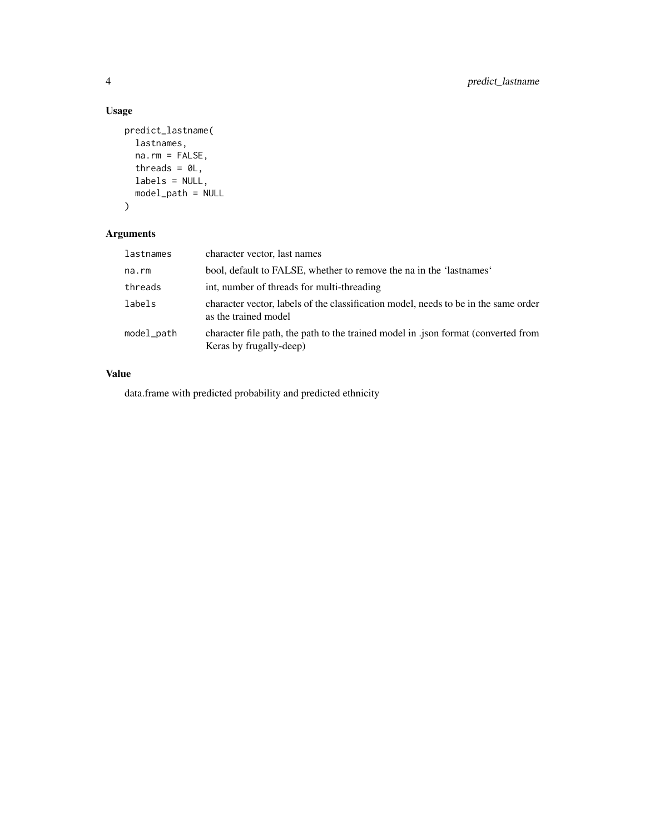#### Usage

```
predict_lastname(
  lastnames,
  na.rm = FALSE,
  threads = OL,
  labels = NULL,
  model_path = NULL
)
```
### Arguments

| lastnames  | character vector, last names                                                                                  |
|------------|---------------------------------------------------------------------------------------------------------------|
| na.rm      | bool, default to FALSE, whether to remove the na in the 'lastnames'                                           |
| threads    | int, number of threads for multi-threading                                                                    |
| labels     | character vector, labels of the classification model, needs to be in the same order<br>as the trained model   |
| model_path | character file path, the path to the trained model in .json format (converted from<br>Keras by frugally-deep) |

#### Value

data.frame with predicted probability and predicted ethnicity